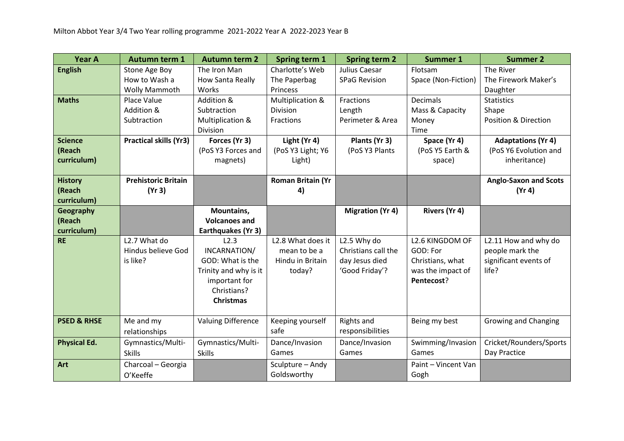| <b>Year A</b><br><b>Autumn term 1</b><br><b>Autumn term 2</b><br><b>Spring term 2</b><br>Spring term 1<br><b>Summer 1</b> | <b>Summer 2</b>                 |
|---------------------------------------------------------------------------------------------------------------------------|---------------------------------|
| <b>English</b><br>Charlotte's Web<br>Julius Caesar<br>Stone Age Boy<br>The Iron Man<br>Flotsam                            | The River                       |
| How to Wash a<br>Space (Non-Fiction)<br>How Santa Really<br>The Paperbag<br><b>SPaG Revision</b>                          | The Firework Maker's            |
| Wolly Mammoth<br>Works<br>Princess                                                                                        | Daughter                        |
| <b>Maths</b><br>Addition &<br><b>Decimals</b><br>Place Value<br>Multiplication &<br>Fractions                             | <b>Statistics</b>               |
| Addition &<br>Mass & Capacity<br>Subtraction<br>Division<br>Length                                                        | Shape                           |
| Subtraction<br>Multiplication &<br>Fractions<br>Perimeter & Area<br>Money                                                 | <b>Position &amp; Direction</b> |
| Division<br>Time                                                                                                          |                                 |
| <b>Practical skills (Yr3)</b><br>Forces (Yr 3)<br>Light (Yr 4)<br>Space (Yr 4)<br><b>Science</b><br>Plants (Yr 3)         | <b>Adaptations (Yr 4)</b>       |
| (PoS Y3 Forces and<br>(PoS Y3 Light; Y6<br>(PoS Y3 Plants<br>(PoS Y5 Earth &<br>(Reach                                    | (PoS Y6 Evolution and           |
| curriculum)<br>magnets)<br>Light)<br>space)                                                                               | inheritance)                    |
|                                                                                                                           |                                 |
| <b>Prehistoric Britain</b><br><b>Roman Britain (Yr</b><br><b>History</b>                                                  | <b>Anglo-Saxon and Scots</b>    |
| (Yr 3)<br>(Reach<br>4)                                                                                                    | (Yr 4)                          |
| curriculum)                                                                                                               |                                 |
| Mountains,<br>Rivers (Yr 4)<br>Geography<br><b>Migration (Yr 4)</b>                                                       |                                 |
| (Reach<br><b>Volcanoes and</b>                                                                                            |                                 |
| curriculum)<br>Earthquakes (Yr 3)                                                                                         |                                 |
| L <sub>2.7</sub> What do<br>L2.3<br><b>RE</b><br>L2.8 What does it<br>L2.5 Why do<br>L <sub>2.6</sub> KINGDOM OF          | L2.11 How and why do            |
| Hindus believe God<br>INCARNATION/<br>Christians call the<br>GOD: For<br>mean to be a                                     | people mark the                 |
| is like?<br>GOD: What is the<br>Hindu in Britain<br>day Jesus died<br>Christians, what                                    | significant events of           |
| 'Good Friday'?<br>was the impact of<br>Trinity and why is it<br>today?                                                    | life?                           |
| important for<br>Pentecost?                                                                                               |                                 |
| Christians?                                                                                                               |                                 |
| <b>Christmas</b>                                                                                                          |                                 |
|                                                                                                                           |                                 |
| <b>Valuing Difference</b><br>Rights and<br><b>PSED &amp; RHSE</b><br>Me and my<br>Keeping yourself<br>Being my best       | <b>Growing and Changing</b>     |
| responsibilities<br>safe<br>relationships                                                                                 |                                 |
| <b>Physical Ed.</b><br>Gymnastics/Multi-<br>Gymnastics/Multi-<br>Dance/Invasion<br>Dance/Invasion<br>Swimming/Invasion    | Cricket/Rounders/Sports         |
| Games<br>Games<br>Games<br><b>Skills</b><br><b>Skills</b>                                                                 | Day Practice                    |
| Art<br>Charcoal - Georgia<br>Sculpture - Andy<br>Paint - Vincent Van                                                      |                                 |
| Goldsworthy<br>Gogh<br>O'Keeffe                                                                                           |                                 |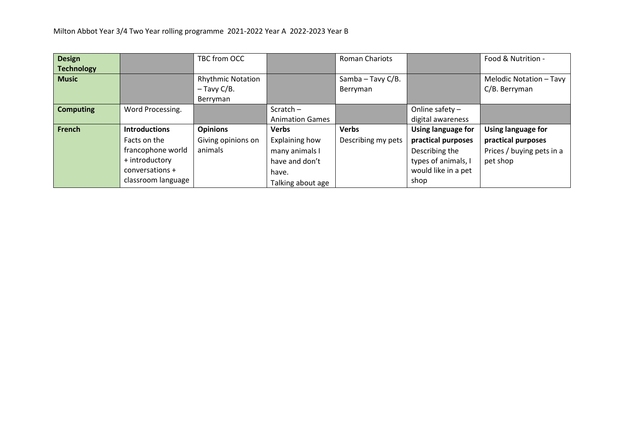| <b>Design</b>     |                      | TBC from OCC             |                        | <b>Roman Chariots</b> |                     | Food & Nutrition -        |
|-------------------|----------------------|--------------------------|------------------------|-----------------------|---------------------|---------------------------|
| <b>Technology</b> |                      |                          |                        |                       |                     |                           |
| <b>Music</b>      |                      | <b>Rhythmic Notation</b> |                        | Samba - Tavy C/B.     |                     | Melodic Notation - Tavy   |
|                   |                      | $-$ Tavy C/B.            |                        | Berryman              |                     | C/B. Berryman             |
|                   |                      | Berryman                 |                        |                       |                     |                           |
| <b>Computing</b>  | Word Processing.     |                          | Scratch $-$            |                       | Online safety $-$   |                           |
|                   |                      |                          | <b>Animation Games</b> |                       | digital awareness   |                           |
| French            | <b>Introductions</b> | <b>Opinions</b>          | <b>Verbs</b>           | <b>Verbs</b>          | Using language for  | <b>Using language for</b> |
|                   | Facts on the         | Giving opinions on       | Explaining how         | Describing my pets    | practical purposes  | practical purposes        |
|                   | francophone world    | animals                  | many animals I         |                       | Describing the      | Prices / buying pets in a |
|                   | + introductory       |                          | have and don't         |                       | types of animals, I | pet shop                  |
|                   | conversations +      |                          | have.                  |                       | would like in a pet |                           |
|                   | classroom language   |                          | Talking about age      |                       | shop                |                           |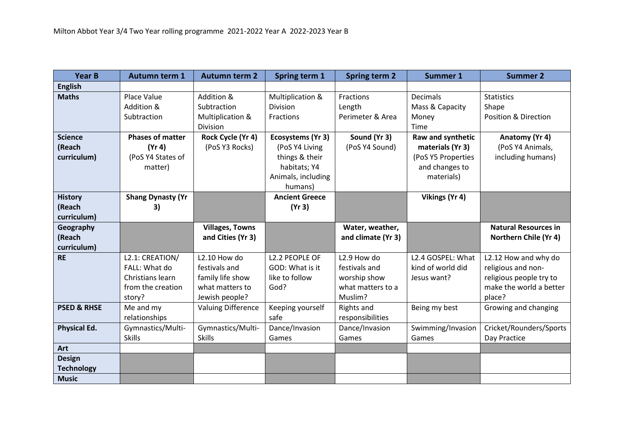| <b>Year B</b>                                      | <b>Autumn term 1</b>                                                                | <b>Autumn term 2</b>                                                                   | Spring term 1                                                                                          | <b>Spring term 2</b>                                                                     | <b>Summer 1</b>                                                                             | <b>Summer 2</b>                                                                                            |
|----------------------------------------------------|-------------------------------------------------------------------------------------|----------------------------------------------------------------------------------------|--------------------------------------------------------------------------------------------------------|------------------------------------------------------------------------------------------|---------------------------------------------------------------------------------------------|------------------------------------------------------------------------------------------------------------|
| <b>English</b>                                     |                                                                                     |                                                                                        |                                                                                                        |                                                                                          |                                                                                             |                                                                                                            |
| <b>Maths</b>                                       | <b>Place Value</b><br>Addition &<br>Subtraction                                     | Addition &<br>Subtraction<br>Multiplication &<br>Division                              | Multiplication &<br>Division<br><b>Fractions</b>                                                       | Fractions<br>Length<br>Perimeter & Area                                                  | <b>Decimals</b><br>Mass & Capacity<br>Money<br>Time                                         | <b>Statistics</b><br>Shape<br><b>Position &amp; Direction</b>                                              |
| <b>Science</b><br>(Reach<br>curriculum)            | <b>Phases of matter</b><br>(Yr 4)<br>(PoS Y4 States of<br>matter)                   | Rock Cycle (Yr 4)<br>(PoS Y3 Rocks)                                                    | Ecosystems (Yr 3)<br>(PoS Y4 Living<br>things & their<br>habitats; Y4<br>Animals, including<br>humans) | Sound (Yr 3)<br>(PoS Y4 Sound)                                                           | Raw and synthetic<br>materials (Yr 3)<br>(PoS Y5 Properties<br>and changes to<br>materials) | Anatomy (Yr 4)<br>(PoS Y4 Animals,<br>including humans)                                                    |
| <b>History</b><br>(Reach<br>curriculum)            | <b>Shang Dynasty (Yr</b><br>3)                                                      |                                                                                        | <b>Ancient Greece</b><br>(Yr 3)                                                                        |                                                                                          | Vikings (Yr 4)                                                                              |                                                                                                            |
| Geography<br>(Reach<br>curriculum)                 |                                                                                     | <b>Villages, Towns</b><br>and Cities (Yr 3)                                            |                                                                                                        | Water, weather,<br>and climate (Yr 3)                                                    |                                                                                             | <b>Natural Resources in</b><br>Northern Chile (Yr 4)                                                       |
| <b>RE</b>                                          | L2.1: CREATION/<br>FALL: What do<br>Christians learn<br>from the creation<br>story? | L2.10 How do<br>festivals and<br>family life show<br>what matters to<br>Jewish people? | L2.2 PEOPLE OF<br>GOD: What is it<br>like to follow<br>God?                                            | L <sub>2.9</sub> How do<br>festivals and<br>worship show<br>what matters to a<br>Muslim? | L2.4 GOSPEL: What<br>kind of world did<br>Jesus want?                                       | L2.12 How and why do<br>religious and non-<br>religious people try to<br>make the world a better<br>place? |
| <b>PSED &amp; RHSE</b>                             | Me and my<br>relationships                                                          | <b>Valuing Difference</b>                                                              | Keeping yourself<br>safe                                                                               | <b>Rights and</b><br>responsibilities                                                    | Being my best                                                                               | Growing and changing                                                                                       |
| <b>Physical Ed.</b>                                | Gymnastics/Multi-<br><b>Skills</b>                                                  | Gymnastics/Multi-<br>Skills                                                            | Dance/Invasion<br>Games                                                                                | Dance/Invasion<br>Games                                                                  | Swimming/Invasion<br>Games                                                                  | Cricket/Rounders/Sports<br>Day Practice                                                                    |
| Art                                                |                                                                                     |                                                                                        |                                                                                                        |                                                                                          |                                                                                             |                                                                                                            |
| <b>Design</b><br><b>Technology</b><br><b>Music</b> |                                                                                     |                                                                                        |                                                                                                        |                                                                                          |                                                                                             |                                                                                                            |
|                                                    |                                                                                     |                                                                                        |                                                                                                        |                                                                                          |                                                                                             |                                                                                                            |